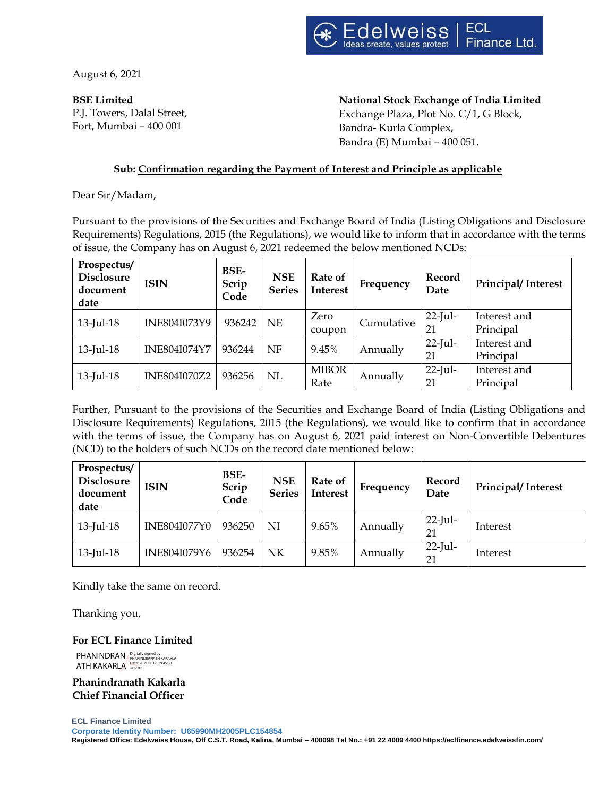

August 6, 2021

**BSE Limited** P.J. Towers, Dalal Street, Fort, Mumbai – 400 001

 **National Stock Exchange of India Limited** Exchange Plaza, Plot No. C/1, G Block, Bandra- Kurla Complex, Bandra (E) Mumbai – 400 051.

# **Sub: Confirmation regarding the Payment of Interest and Principle as applicable**

Dear Sir/Madam,

Pursuant to the provisions of the Securities and Exchange Board of India (Listing Obligations and Disclosure Requirements) Regulations, 2015 (the Regulations), we would like to inform that in accordance with the terms of issue, the Company has on August 6, 2021 redeemed the below mentioned NCDs:

| Prospectus/<br><b>Disclosure</b><br>document<br>date | <b>ISIN</b>         | BSE-<br>Scrip<br>Code | <b>NSE</b><br><b>Series</b> | Rate of<br><b>Interest</b> | Frequency  | Record<br>Date   | Principal/Interest        |
|------------------------------------------------------|---------------------|-----------------------|-----------------------------|----------------------------|------------|------------------|---------------------------|
| $13$ -Jul-18                                         | INE804I073Y9        | 936242                | <b>NE</b>                   | Zero<br>coupon             | Cumulative | $22$ -Jul-<br>21 | Interest and<br>Principal |
| $13$ -Jul-18                                         | <b>INE804I074Y7</b> | 936244                | <b>NF</b>                   | 9.45%                      | Annually   | $22$ -Jul-<br>21 | Interest and<br>Principal |
| $13$ -Jul-18                                         | INE804I070Z2        | 936256                | NL                          | <b>MIBOR</b><br>Rate       | Annually   | $22$ -Jul-<br>21 | Interest and<br>Principal |

Further, Pursuant to the provisions of the Securities and Exchange Board of India (Listing Obligations and Disclosure Requirements) Regulations, 2015 (the Regulations), we would like to confirm that in accordance with the terms of issue, the Company has on August 6, 2021 paid interest on Non-Convertible Debentures (NCD) to the holders of such NCDs on the record date mentioned below:

| Prospectus/<br><b>Disclosure</b><br>document<br>date | <b>ISIN</b>         | <b>BSE-</b><br>Scrip<br>Code | <b>NSE</b><br><b>Series</b> | Rate of<br><b>Interest</b> | Frequency | Record<br>Date   | Principal/Interest |
|------------------------------------------------------|---------------------|------------------------------|-----------------------------|----------------------------|-----------|------------------|--------------------|
| $13$ -Jul-18                                         | <b>INE804I077Y0</b> | 936250                       | ΝI                          | 9.65%                      | Annually  | $22$ -Jul-<br>21 | Interest           |
| $13$ -Jul-18                                         | INE804I079Y6        | 936254                       | NK                          | 9.85%                      | Annually  | $22$ -Jul-<br>21 | Interest           |

Kindly take the same on record.

Thanking you,

# **For ECL Finance Limited**

PHANINDRAN ATH KAKARLA Digitally signed by PHANINDRANATH KAKARLA Date: 2021.08.06 19:45:33 +05'30'

**Phanindranath Kakarla Chief Financial Officer**